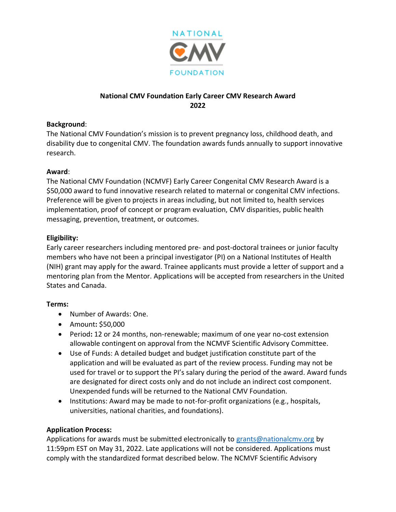

# **National CMV Foundation Early Career CMV Research Award 2022**

### **Background**:

The National CMV Foundation's mission is to prevent pregnancy loss, childhood death, and disability due to congenital CMV. The foundation awards funds annually to support innovative research.

#### **Award**:

The National CMV Foundation (NCMVF) Early Career Congenital CMV Research Award is a \$50,000 award to fund innovative research related to maternal or congenital CMV infections. Preference will be given to projects in areas including, but not limited to, health services implementation, proof of concept or program evaluation, CMV disparities, public health messaging, prevention, treatment, or outcomes.

### **Eligibility:**

Early career researchers including mentored pre- and post-doctoral trainees or junior faculty members who have not been a principal investigator (PI) on a National Institutes of Health (NIH) grant may apply for the award. Trainee applicants must provide a letter of support and a mentoring plan from the Mentor. Applications will be accepted from researchers in the United States and Canada.

## **Terms:**

- Number of Awards: One.
- Amount**:** \$50,000
- Period**:** 12 or 24 months, non-renewable; maximum of one year no-cost extension allowable contingent on approval from the NCMVF Scientific Advisory Committee.
- Use of Funds: A detailed budget and budget justification constitute part of the application and will be evaluated as part of the review process. Funding may not be used for travel or to support the PI's salary during the period of the award. Award funds are designated for direct costs only and do not include an indirect cost component. Unexpended funds will be returned to the National CMV Foundation.
- Institutions: Award may be made to not-for-profit organizations (e.g., hospitals, universities, national charities, and foundations).

## **Application Process:**

Applications for awards must be submitted electronically to [grants@nationalcmv.org](mailto:grants@nationalcmv.org) by 11:59pm EST on May 31, 2022. Late applications will not be considered. Applications must comply with the standardized format described below. The NCMVF Scientific Advisory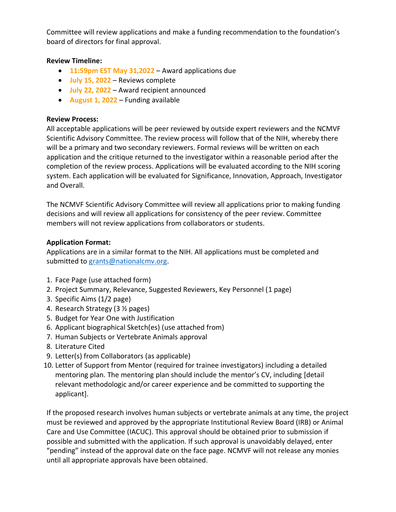Committee will review applications and make a funding recommendation to the foundation's board of directors for final approval.

## **Review Timeline:**

- **11:59pm EST May 31,2022** Award applications due
- **July 15, 2022** Reviews complete
- **July 22, 2022** Award recipient announced
- **August 1, 2022** Funding available

### **Review Process:**

All acceptable applications will be peer reviewed by outside expert reviewers and the NCMVF Scientific Advisory Committee. The review process will follow that of the NIH, whereby there will be a primary and two secondary reviewers. Formal reviews will be written on each application and the critique returned to the investigator within a reasonable period after the completion of the review process. Applications will be evaluated according to the NIH scoring system. Each application will be evaluated for Significance, Innovation, Approach, Investigator and Overall.

The NCMVF Scientific Advisory Committee will review all applications prior to making funding decisions and will review all applications for consistency of the peer review. Committee members will not review applications from collaborators or students.

### **Application Format:**

Applications are in a similar format to the NIH. All applications must be completed and submitted to [grants@nationalcmv.org.](mailto:research@nationalcmv.org)

- 1. Face Page (use attached form)
- 2. Project Summary, Relevance, Suggested Reviewers, Key Personnel (1 page)
- 3. Specific Aims (1/2 page)
- 4. Research Strategy (3 ½ pages)
- 5. Budget for Year One with Justification
- 6. Applicant biographical Sketch(es) (use attached from)
- 7. Human Subjects or Vertebrate Animals approval
- 8. Literature Cited
- 9. Letter(s) from Collaborators (as applicable)
- 10. Letter of Support from Mentor (required for trainee investigators) including a detailed mentoring plan. The mentoring plan should include the mentor's CV, including [detail relevant methodologic and/or career experience and be committed to supporting the applicant].

If the proposed research involves human subjects or vertebrate animals at any time, the project must be reviewed and approved by the appropriate Institutional Review Board (IRB) or Animal Care and Use Committee (IACUC). This approval should be obtained prior to submission if possible and submitted with the application. If such approval is unavoidably delayed, enter "pending" instead of the approval date on the face page. NCMVF will not release any monies until all appropriate approvals have been obtained.